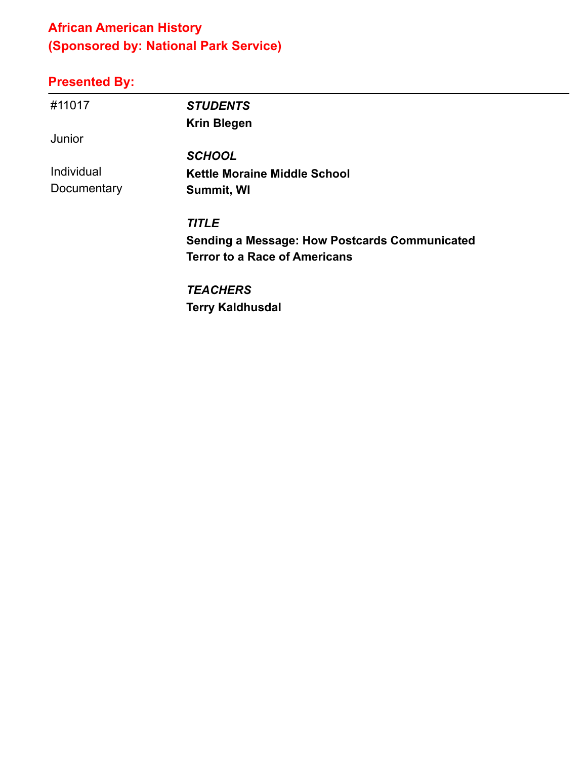# **African American History (Sponsored by: National Park Service)**

| #11017      | <b>STUDENTS</b>                                      |
|-------------|------------------------------------------------------|
|             | <b>Krin Blegen</b>                                   |
| Junior      |                                                      |
|             | <b>SCHOOL</b>                                        |
| Individual  | <b>Kettle Moraine Middle School</b>                  |
| Documentary | Summit, WI                                           |
|             | <b>TITLE</b>                                         |
|             | <b>Sending a Message: How Postcards Communicated</b> |
|             | <b>Terror to a Race of Americans</b>                 |
|             | <b>TEACHERS</b>                                      |
|             | <b>Terry Kaldhusdal</b>                              |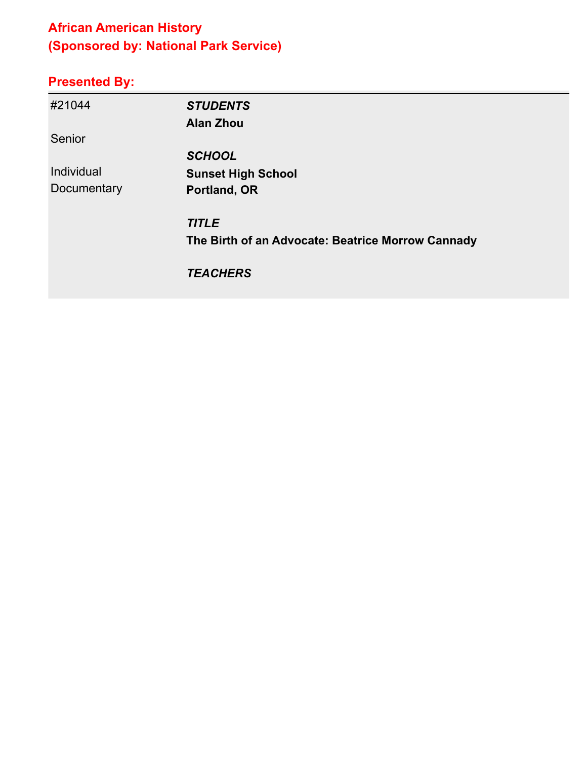# **African American History (Sponsored by: National Park Service)**

| #21044      | <b>STUDENTS</b>                                   |
|-------------|---------------------------------------------------|
|             | <b>Alan Zhou</b>                                  |
| Senior      |                                                   |
|             | <b>SCHOOL</b>                                     |
| Individual  | <b>Sunset High School</b>                         |
| Documentary | Portland, OR                                      |
|             | <b>TITLE</b>                                      |
|             | The Birth of an Advocate: Beatrice Morrow Cannady |
|             | <b>TEACHERS</b>                                   |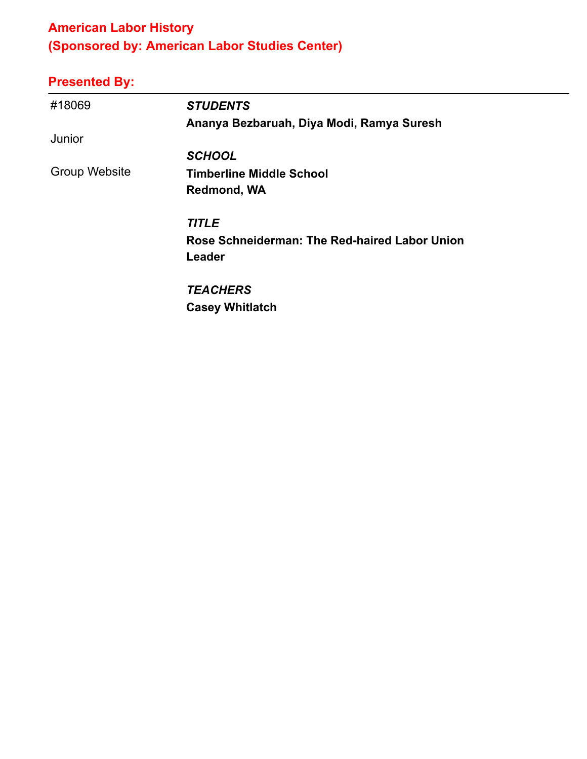# **American Labor History (Sponsored by: American Labor Studies Center)**

| #18069               | <b>STUDENTS</b>                               |
|----------------------|-----------------------------------------------|
|                      | Ananya Bezbaruah, Diya Modi, Ramya Suresh     |
| Junior               |                                               |
|                      | <b>SCHOOL</b>                                 |
| <b>Group Website</b> | <b>Timberline Middle School</b>               |
|                      | <b>Redmond, WA</b>                            |
|                      | <b>TITLE</b>                                  |
|                      | Rose Schneiderman: The Red-haired Labor Union |
|                      | Leader                                        |
|                      | <b>TEACHERS</b>                               |
|                      | <b>Casey Whitlatch</b>                        |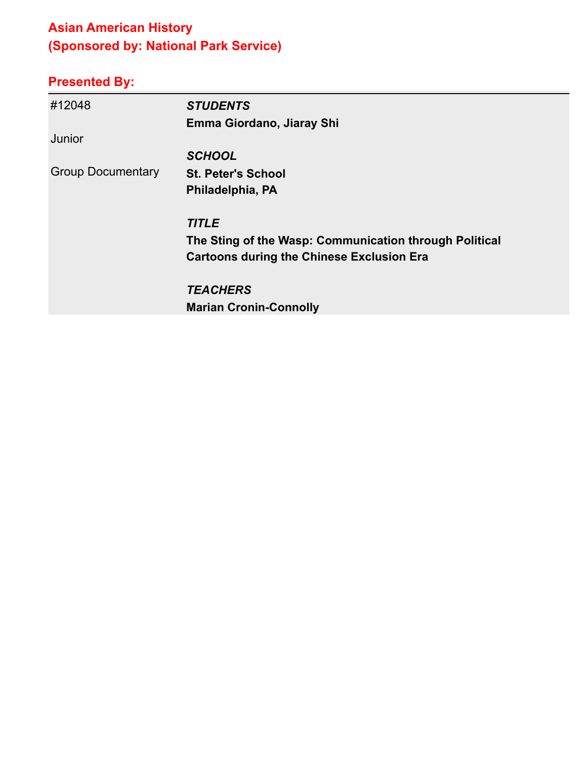# **Asian American History (Sponsored by: National Park Service)**

| #12048                   | <b>STUDENTS</b>                                        |
|--------------------------|--------------------------------------------------------|
|                          | Emma Giordano, Jiaray Shi                              |
| Junior                   |                                                        |
|                          | <b>SCHOOL</b>                                          |
| <b>Group Documentary</b> | <b>St. Peter's School</b>                              |
|                          | Philadelphia, PA                                       |
|                          | <b>TITLE</b>                                           |
|                          | The Sting of the Wasp: Communication through Political |
|                          | <b>Cartoons during the Chinese Exclusion Era</b>       |
|                          | <b>TEACHERS</b>                                        |
|                          | <b>Marian Cronin-Connolly</b>                          |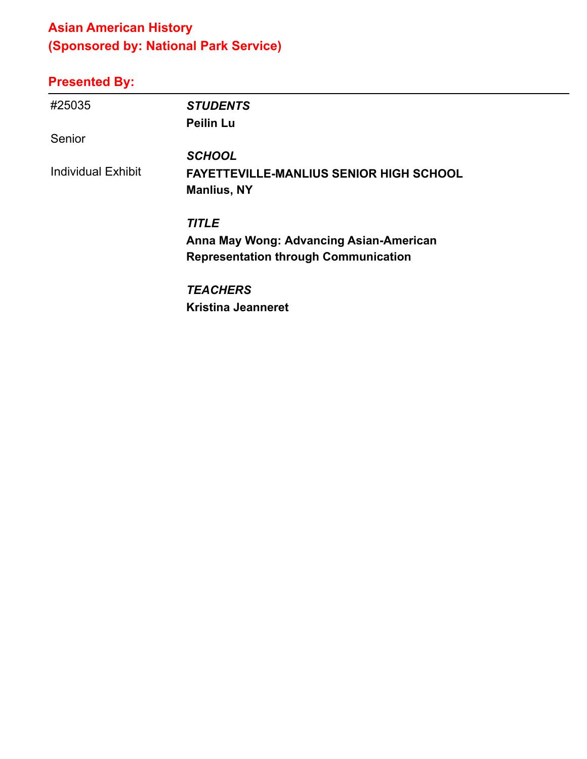### **Asian American History (Sponsored by: National Park Service)**

# **Presented By:**

| #25035                    | <b>STUDENTS</b>                                |
|---------------------------|------------------------------------------------|
|                           | <b>Peilin Lu</b>                               |
| Senior                    |                                                |
|                           | <b>SCHOOL</b>                                  |
| <b>Individual Exhibit</b> | <b>FAYETTEVILLE-MANLIUS SENIOR HIGH SCHOOL</b> |
|                           | <b>Manlius, NY</b>                             |
|                           | <b>TITLE</b>                                   |
|                           | Anna May Wong: Advancing Asian-American        |
|                           | <b>Representation through Communication</b>    |
|                           | <b>TEACHERS</b>                                |
|                           | <b>Kristina Jeanneret</b>                      |

÷,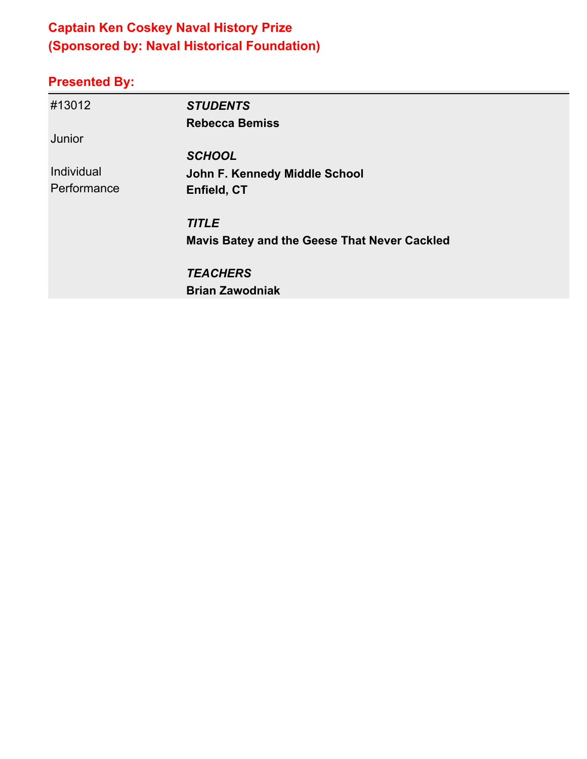# **Captain Ken Coskey Naval History Prize (Sponsored by: Naval Historical Foundation)**

| #13012      | <b>STUDENTS</b>                                     |
|-------------|-----------------------------------------------------|
|             | <b>Rebecca Bemiss</b>                               |
| Junior      |                                                     |
|             | <b>SCHOOL</b>                                       |
| Individual  | John F. Kennedy Middle School                       |
| Performance | Enfield, CT                                         |
|             | <b>TITLE</b>                                        |
|             | <b>Mavis Batey and the Geese That Never Cackled</b> |
|             | <b>TEACHERS</b>                                     |
|             | <b>Brian Zawodniak</b>                              |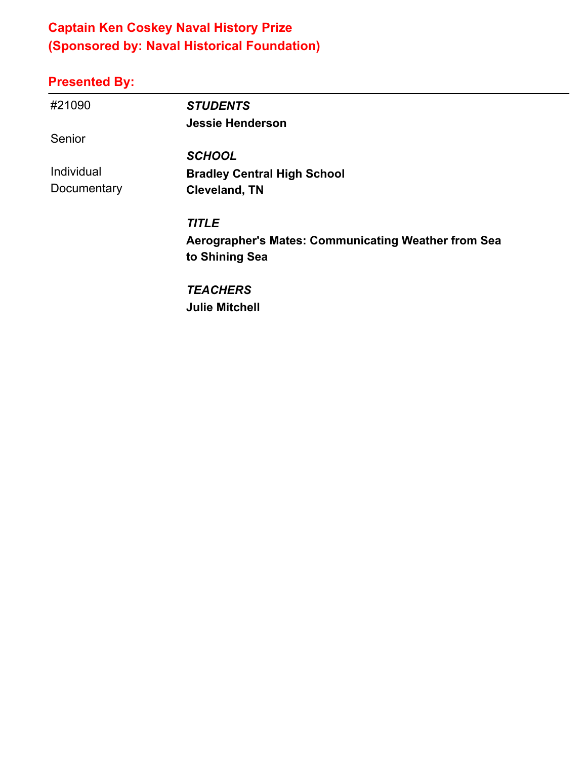### **Captain Ken Coskey Naval History Prize (Sponsored by: Naval Historical Foundation)**

#### **Presented By:**

| #21090      | <b>STUDENTS</b>                                     |
|-------------|-----------------------------------------------------|
|             | <b>Jessie Henderson</b>                             |
| Senior      |                                                     |
|             | <b>SCHOOL</b>                                       |
| Individual  | <b>Bradley Central High School</b>                  |
| Documentary | <b>Cleveland, TN</b>                                |
|             | <b>TITLE</b>                                        |
|             | Aerographer's Mates: Communicating Weather from Sea |
|             | to Shining Sea                                      |
|             | <b>TEACHERS</b>                                     |

**Julie Mitchell**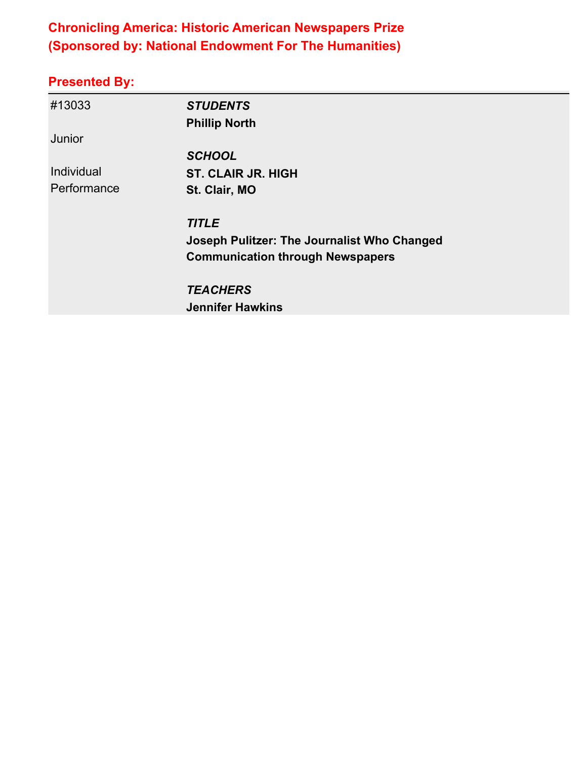### **Chronicling America: Historic American Newspapers Prize (Sponsored by: National Endowment For The Humanities)**

| #13033      | <b>STUDENTS</b><br><b>Phillip North</b>     |  |
|-------------|---------------------------------------------|--|
| Junior      |                                             |  |
|             | <b>SCHOOL</b>                               |  |
| Individual  | <b>ST. CLAIR JR. HIGH</b>                   |  |
| Performance | St. Clair, MO                               |  |
|             | <b>TITLE</b>                                |  |
|             | Joseph Pulitzer: The Journalist Who Changed |  |
|             | <b>Communication through Newspapers</b>     |  |
|             | <b>TEACHERS</b>                             |  |
|             | <b>Jennifer Hawkins</b>                     |  |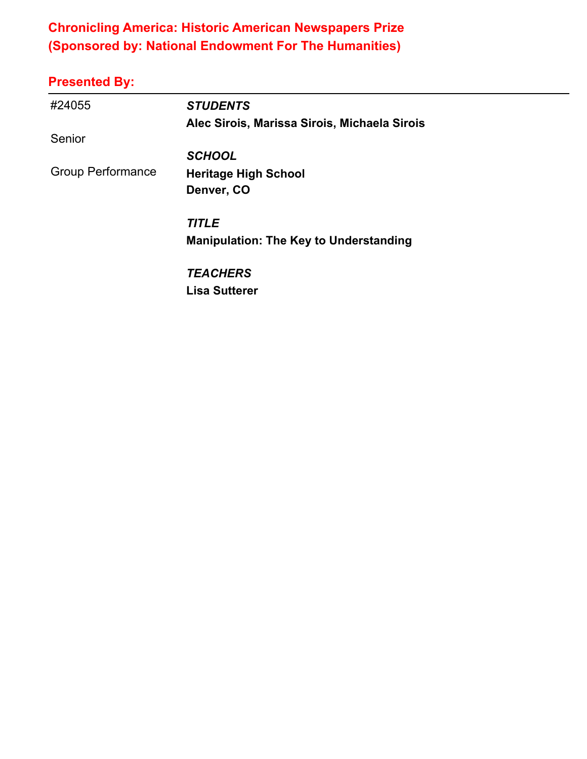### **Chronicling America: Historic American Newspapers Prize (Sponsored by: National Endowment For The Humanities)**

| #24055                   | <b>STUDENTS</b>                               |
|--------------------------|-----------------------------------------------|
|                          | Alec Sirois, Marissa Sirois, Michaela Sirois  |
| Senior                   |                                               |
|                          | <b>SCHOOL</b>                                 |
| <b>Group Performance</b> | <b>Heritage High School</b>                   |
|                          | Denver, CO                                    |
|                          | <b>TITLE</b>                                  |
|                          | <b>Manipulation: The Key to Understanding</b> |
|                          | <b>TEACHERS</b>                               |
|                          | <b>Lisa Sutterer</b>                          |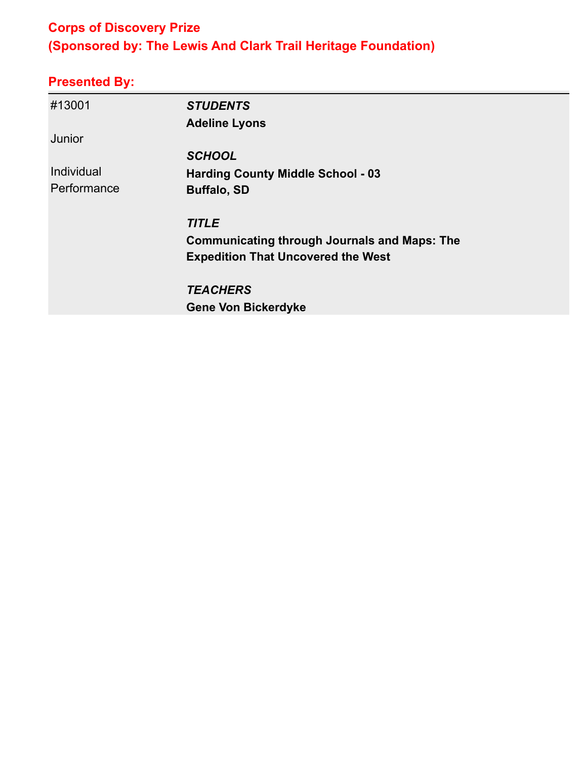# **Corps of Discovery Prize (Sponsored by: The Lewis And Clark Trail Heritage Foundation)**

| #13001      | <b>STUDENTS</b>                                     |  |
|-------------|-----------------------------------------------------|--|
|             | <b>Adeline Lyons</b>                                |  |
| Junior      |                                                     |  |
|             | <b>SCHOOL</b>                                       |  |
| Individual  | <b>Harding County Middle School - 03</b>            |  |
| Performance | <b>Buffalo, SD</b>                                  |  |
|             | <b>TITLE</b>                                        |  |
|             | <b>Communicating through Journals and Maps: The</b> |  |
|             | <b>Expedition That Uncovered the West</b>           |  |
|             | <b>TEACHERS</b>                                     |  |
|             | <b>Gene Von Bickerdyke</b>                          |  |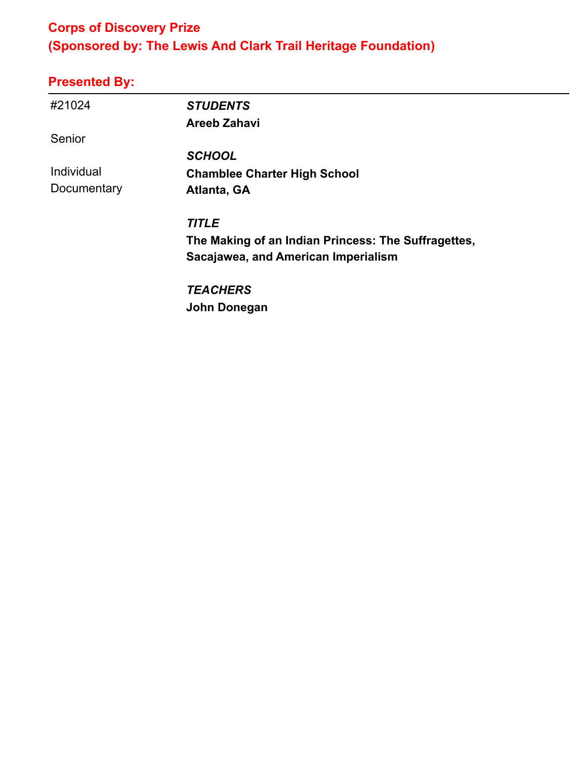### **Corps of Discovery Prize (Sponsored by: The Lewis And Clark Trail Heritage Foundation)**

# **Presented By:**

| #21024      | <b>STUDENTS</b>                                     |
|-------------|-----------------------------------------------------|
|             | <b>Areeb Zahavi</b>                                 |
| Senior      |                                                     |
|             | <b>SCHOOL</b>                                       |
| Individual  | <b>Chamblee Charter High School</b>                 |
| Documentary | Atlanta, GA                                         |
|             | <b>TITLE</b>                                        |
|             | The Making of an Indian Princess: The Suffragettes, |
|             | Sacajawea, and American Imperialism                 |
|             | <b>TEACHERS</b>                                     |

**John Donegan**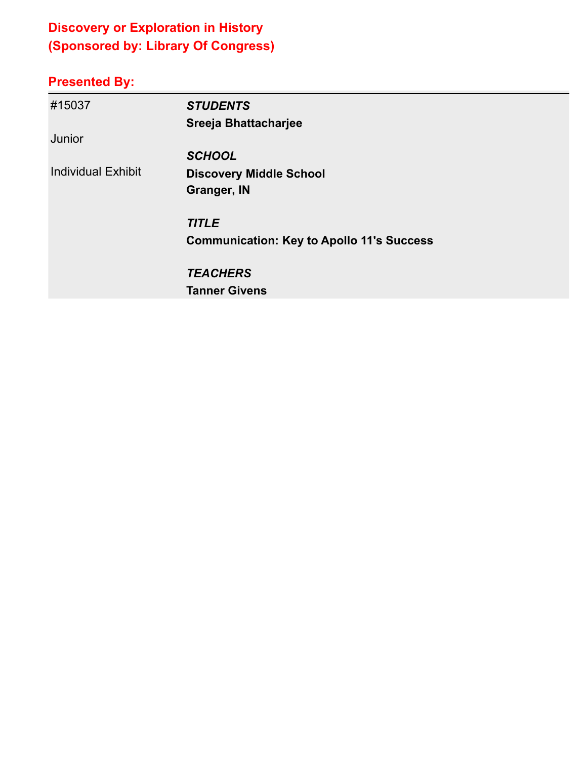# **Discovery or Exploration in History (Sponsored by: Library Of Congress)**

| #15037                    | <b>STUDENTS</b>                                  |
|---------------------------|--------------------------------------------------|
|                           | Sreeja Bhattacharjee                             |
| Junior                    |                                                  |
|                           | <b>SCHOOL</b>                                    |
| <b>Individual Exhibit</b> | <b>Discovery Middle School</b>                   |
|                           | <b>Granger, IN</b>                               |
|                           | <b>TITLE</b>                                     |
|                           | <b>Communication: Key to Apollo 11's Success</b> |
|                           | <b>TEACHERS</b>                                  |
|                           | <b>Tanner Givens</b>                             |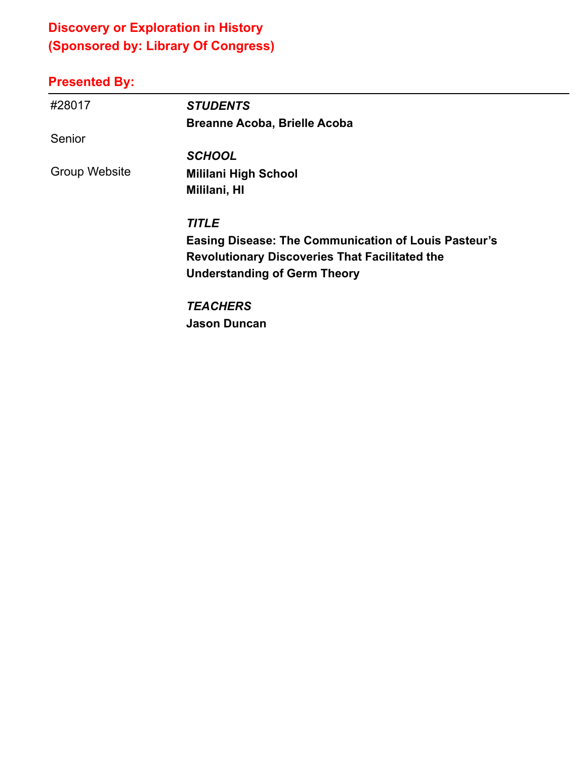# **Discovery or Exploration in History (Sponsored by: Library Of Congress)**

# **Presented By:**

| #28017        | <b>STUDENTS</b>                                             |
|---------------|-------------------------------------------------------------|
|               | <b>Breanne Acoba, Brielle Acoba</b>                         |
| Senior        |                                                             |
|               | <b>SCHOOL</b>                                               |
| Group Website | <b>Mililani High School</b>                                 |
|               | Mililani, HI                                                |
|               | <b>TITLE</b>                                                |
|               | <b>Easing Disease: The Communication of Louis Pasteur's</b> |
|               | <b>Revolutionary Discoveries That Facilitated the</b>       |
|               | <b>Understanding of Germ Theory</b>                         |
|               | <b>TEACHERS</b>                                             |

**Jason Duncan**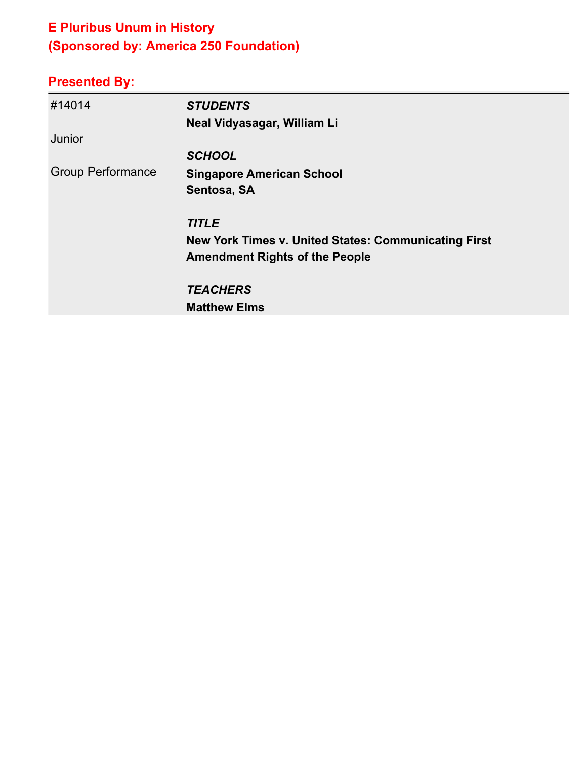# **E Pluribus Unum in History (Sponsored by: America 250 Foundation)**

| #14014                   | <b>STUDENTS</b>                                             |
|--------------------------|-------------------------------------------------------------|
|                          | Neal Vidyasagar, William Li                                 |
| Junior                   |                                                             |
|                          | <b>SCHOOL</b>                                               |
| <b>Group Performance</b> | <b>Singapore American School</b>                            |
|                          | Sentosa, SA                                                 |
|                          | <b>TITLE</b>                                                |
|                          | <b>New York Times v. United States: Communicating First</b> |
|                          | <b>Amendment Rights of the People</b>                       |
|                          | <b>TEACHERS</b>                                             |
|                          | <b>Matthew Elms</b>                                         |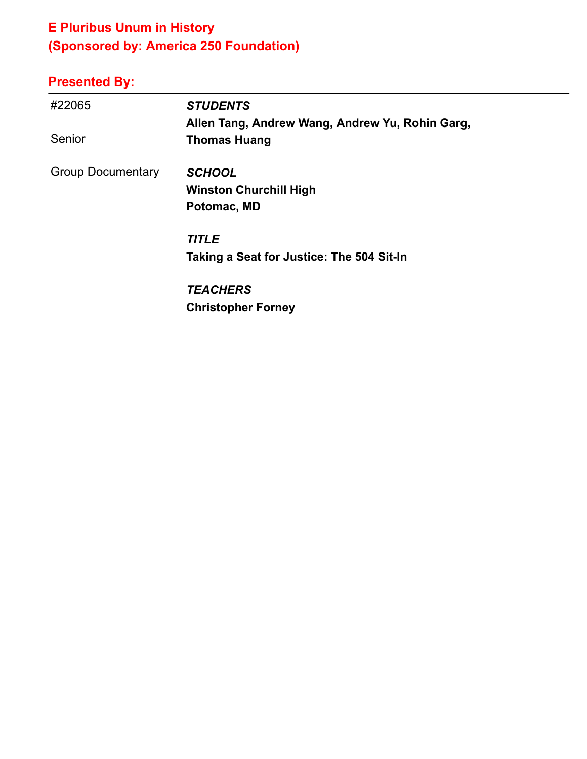# **E Pluribus Unum in History (Sponsored by: America 250 Foundation)**

| #22065                   | <b>STUDENTS</b>                                 |
|--------------------------|-------------------------------------------------|
|                          | Allen Tang, Andrew Wang, Andrew Yu, Rohin Garg, |
| Senior                   | <b>Thomas Huang</b>                             |
| <b>Group Documentary</b> | <b>SCHOOL</b>                                   |
|                          | <b>Winston Churchill High</b>                   |
|                          | Potomac, MD                                     |
|                          | <b>TITLE</b>                                    |
|                          | Taking a Seat for Justice: The 504 Sit-In       |
|                          | <b>TEACHERS</b>                                 |
|                          | <b>Christopher Forney</b>                       |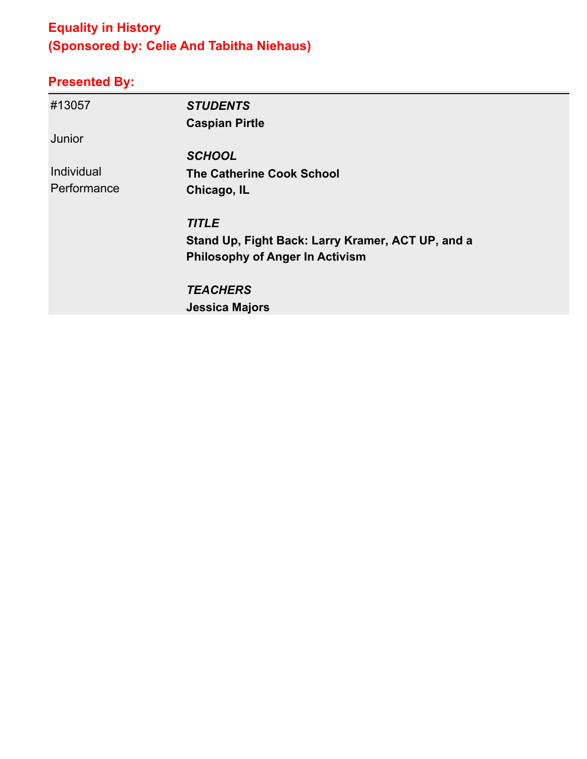# **Equality in History (Sponsored by: Celie And Tabitha Niehaus)**

| #13057      | <b>STUDENTS</b>                                   |
|-------------|---------------------------------------------------|
|             | <b>Caspian Pirtle</b>                             |
| Junior      |                                                   |
|             | <b>SCHOOL</b>                                     |
| Individual  | <b>The Catherine Cook School</b>                  |
| Performance | Chicago, IL                                       |
|             | <b>TITLE</b>                                      |
|             | Stand Up, Fight Back: Larry Kramer, ACT UP, and a |
|             | <b>Philosophy of Anger In Activism</b>            |
|             | <b>TEACHERS</b>                                   |
|             | <b>Jessica Majors</b>                             |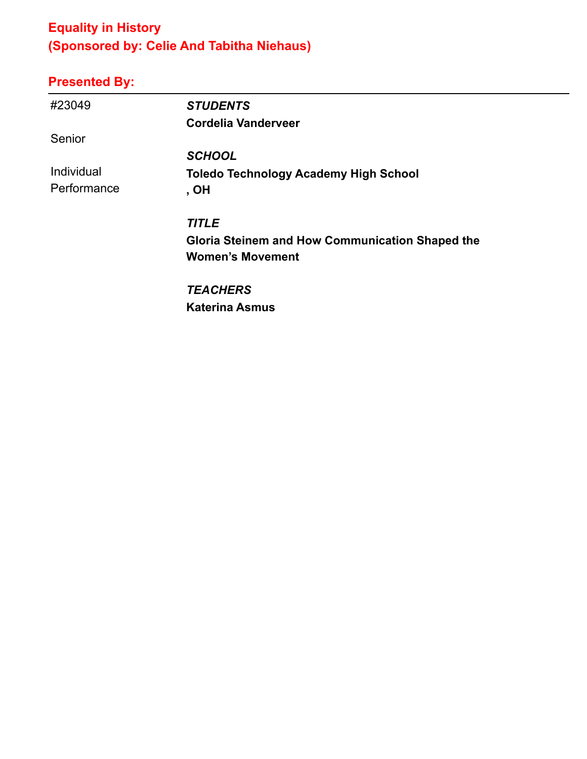# **Equality in History (Sponsored by: Celie And Tabitha Niehaus)**

# **Presented By:**

| #23049      | <b>STUDENTS</b>                                        |
|-------------|--------------------------------------------------------|
|             | <b>Cordelia Vanderveer</b>                             |
| Senior      |                                                        |
|             | <b>SCHOOL</b>                                          |
| Individual  | <b>Toledo Technology Academy High School</b>           |
| Performance | , OH                                                   |
|             | <b>TITLE</b>                                           |
|             | <b>Gloria Steinem and How Communication Shaped the</b> |
|             | <b>Women's Movement</b>                                |
|             | <b>TEACHERS</b>                                        |

**Katerina Asmus**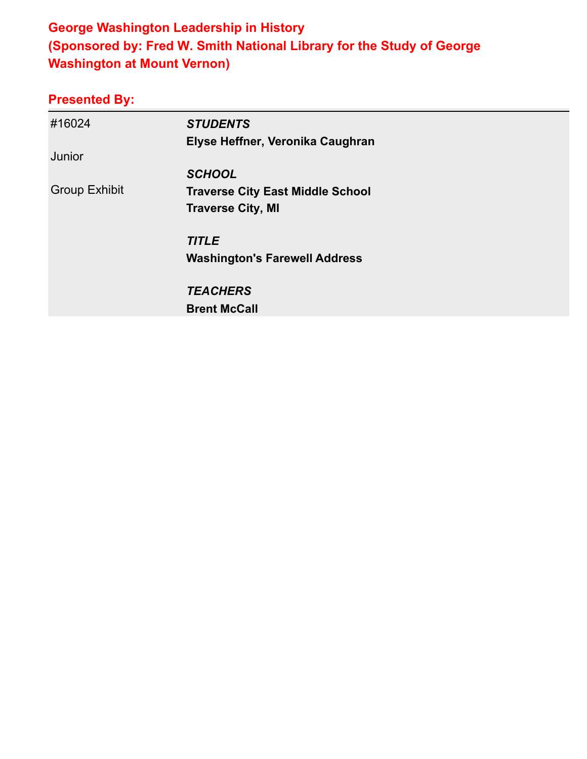### **George Washington Leadership in History (Sponsored by: Fred W. Smith National Library for the Study of George Washington at Mount Vernon)**

| #16024               | <b>STUDENTS</b>                         |
|----------------------|-----------------------------------------|
|                      | Elyse Heffner, Veronika Caughran        |
| Junior               |                                         |
|                      | <b>SCHOOL</b>                           |
| <b>Group Exhibit</b> | <b>Traverse City East Middle School</b> |
|                      | <b>Traverse City, MI</b>                |
|                      | <b>TITLE</b>                            |
|                      | <b>Washington's Farewell Address</b>    |
|                      | <b>TEACHERS</b>                         |
|                      | <b>Brent McCall</b>                     |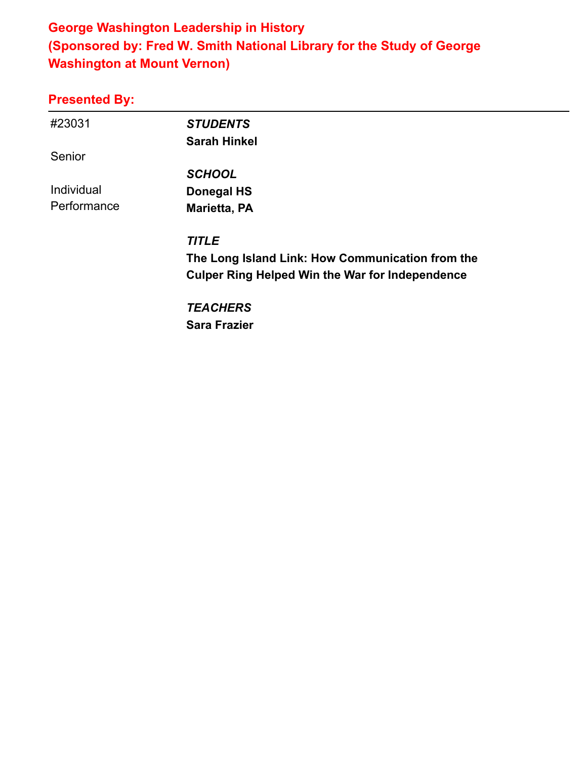### **George Washington Leadership in History (Sponsored by: Fred W. Smith National Library for the Study of George Washington at Mount Vernon)**

#### **Presented By:**

| #23031      | <b>STUDENTS</b>                                        |  |
|-------------|--------------------------------------------------------|--|
|             | <b>Sarah Hinkel</b>                                    |  |
| Senior      |                                                        |  |
|             | <b>SCHOOL</b>                                          |  |
| Individual  | Donegal HS                                             |  |
| Performance | Marietta, PA                                           |  |
|             | <b>TITLE</b>                                           |  |
|             | The Long Island Link: How Communication from the       |  |
|             | <b>Culper Ring Helped Win the War for Independence</b> |  |
|             | <b>TEACHERS</b>                                        |  |
|             |                                                        |  |

**Sara Frazier**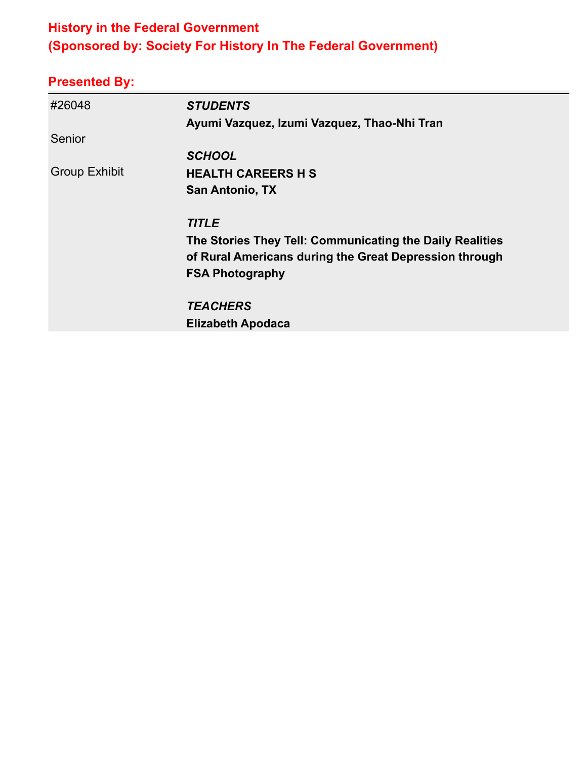#### **History in the Federal Government (Sponsored by: Society For History In The Federal Government)**

| #26048               | <b>STUDENTS</b>                                          |
|----------------------|----------------------------------------------------------|
|                      | Ayumi Vazquez, Izumi Vazquez, Thao-Nhi Tran              |
| Senior               |                                                          |
|                      | <b>SCHOOL</b>                                            |
| <b>Group Exhibit</b> | <b>HEALTH CAREERS H S</b>                                |
|                      | <b>San Antonio, TX</b>                                   |
|                      | <b>TITLE</b>                                             |
|                      | The Stories They Tell: Communicating the Daily Realities |
|                      | of Rural Americans during the Great Depression through   |
|                      | <b>FSA Photography</b>                                   |
|                      | <b>TEACHERS</b>                                          |
|                      | <b>Elizabeth Apodaca</b>                                 |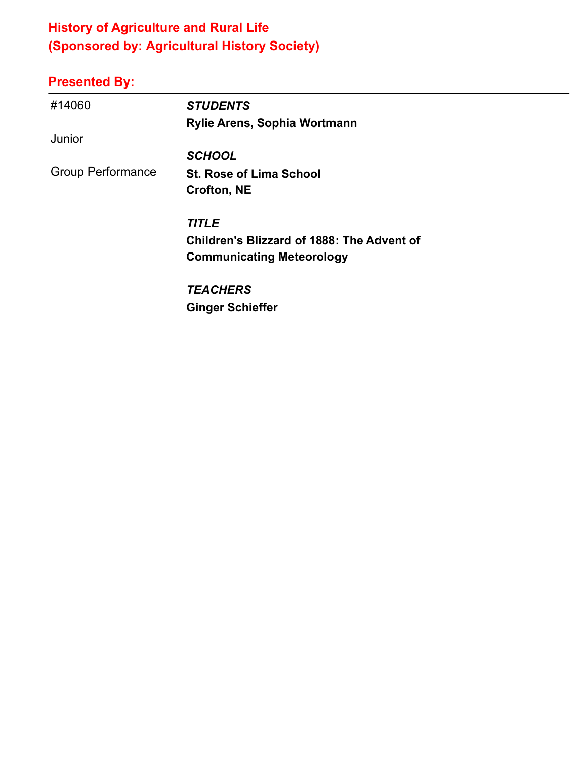# **History of Agriculture and Rural Life (Sponsored by: Agricultural History Society)**

| #14060                   | <b>STUDENTS</b>                                   |
|--------------------------|---------------------------------------------------|
|                          | Rylie Arens, Sophia Wortmann                      |
| Junior                   |                                                   |
|                          | <b>SCHOOL</b>                                     |
| <b>Group Performance</b> | <b>St. Rose of Lima School</b>                    |
|                          | <b>Crofton, NE</b>                                |
|                          | <b>TITLE</b>                                      |
|                          | <b>Children's Blizzard of 1888: The Advent of</b> |
|                          | <b>Communicating Meteorology</b>                  |
|                          | <b>TEACHERS</b>                                   |
|                          | <b>Ginger Schieffer</b>                           |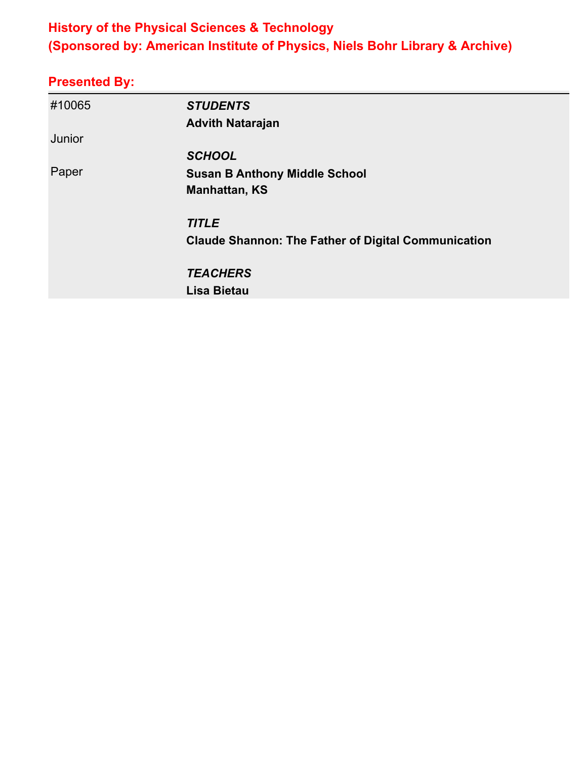### **History of the Physical Sciences & Technology (Sponsored by: American Institute of Physics, Niels Bohr Library & Archive)**

| #10065 | <b>STUDENTS</b>                                            |
|--------|------------------------------------------------------------|
|        | <b>Advith Natarajan</b>                                    |
| Junior |                                                            |
|        | <b>SCHOOL</b>                                              |
| Paper  | <b>Susan B Anthony Middle School</b>                       |
|        | <b>Manhattan, KS</b>                                       |
|        | <b>TITLE</b>                                               |
|        | <b>Claude Shannon: The Father of Digital Communication</b> |
|        | <b>TEACHERS</b>                                            |
|        | <b>Lisa Bietau</b>                                         |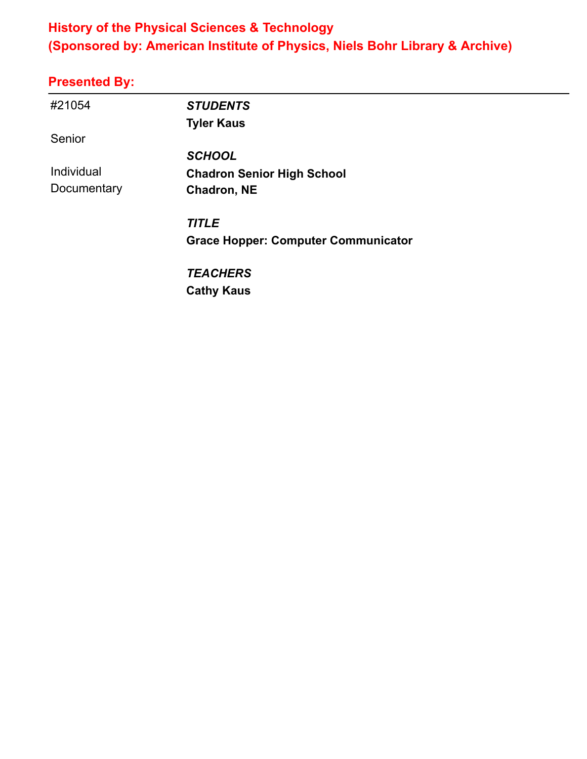### **History of the Physical Sciences & Technology (Sponsored by: American Institute of Physics, Niels Bohr Library & Archive)**

| #21054      | <b>STUDENTS</b>                            |
|-------------|--------------------------------------------|
|             | <b>Tyler Kaus</b>                          |
| Senior      |                                            |
|             | <b>SCHOOL</b>                              |
| Individual  | <b>Chadron Senior High School</b>          |
| Documentary | Chadron, NE                                |
|             | <b>TITLE</b>                               |
|             | <b>Grace Hopper: Computer Communicator</b> |
|             | <b>TEACHERS</b>                            |
|             | <b>Cathy Kaus</b>                          |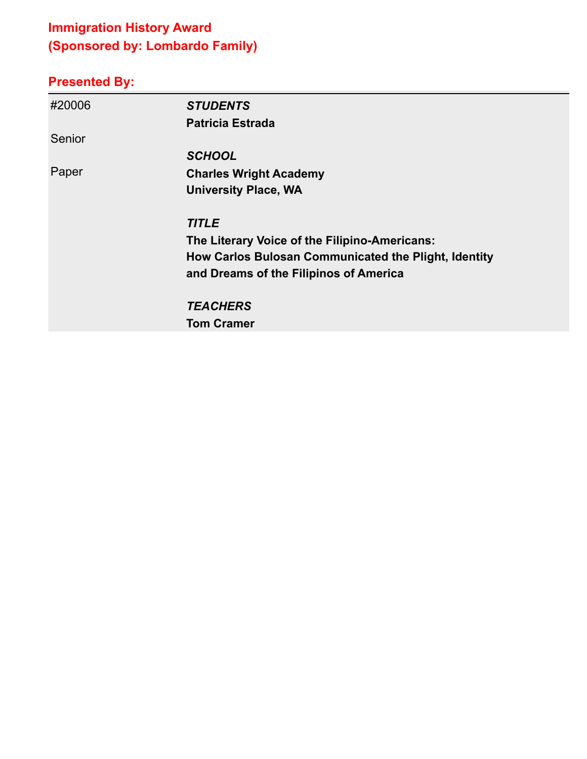# **Immigration History Award (Sponsored by: Lombardo Family)**

| #20006 | <b>STUDENTS</b>                                      |
|--------|------------------------------------------------------|
|        | <b>Patricia Estrada</b>                              |
| Senior |                                                      |
|        | <b>SCHOOL</b>                                        |
| Paper  | <b>Charles Wright Academy</b>                        |
|        | <b>University Place, WA</b>                          |
|        | <b>TITLE</b>                                         |
|        | The Literary Voice of the Filipino-Americans:        |
|        | How Carlos Bulosan Communicated the Plight, Identity |
|        | and Dreams of the Filipinos of America               |
|        | <b>TEACHERS</b>                                      |
|        | <b>Tom Cramer</b>                                    |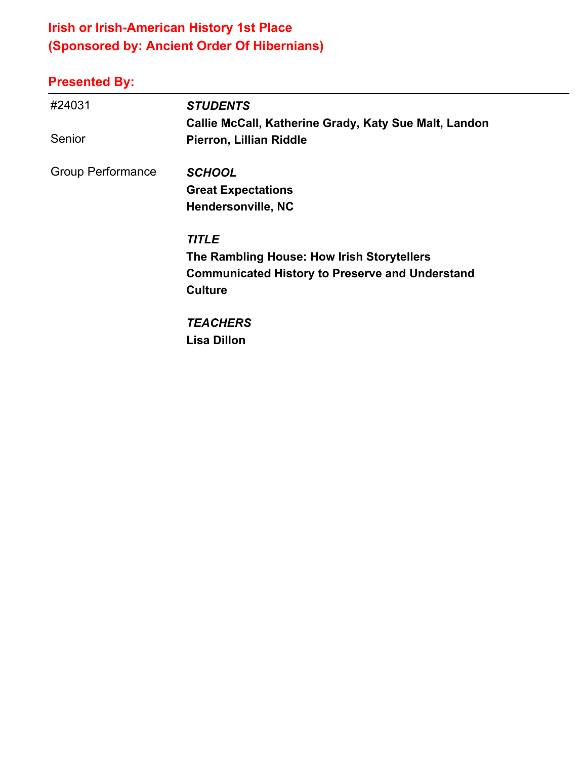# **Irish or Irish-American History 1st Place (Sponsored by: Ancient Order Of Hibernians)**

| #24031<br>Senior         | <b>STUDENTS</b><br>Callie McCall, Katherine Grady, Katy Sue Malt, Landon<br>Pierron, Lillian Riddle                                    |
|--------------------------|----------------------------------------------------------------------------------------------------------------------------------------|
| <b>Group Performance</b> | <b>SCHOOL</b><br><b>Great Expectations</b><br><b>Hendersonville, NC</b>                                                                |
|                          | <b>TITLE</b><br>The Rambling House: How Irish Storytellers<br><b>Communicated History to Preserve and Understand</b><br><b>Culture</b> |
|                          | <b>TEACHERS</b><br><b>Lisa Dillon</b>                                                                                                  |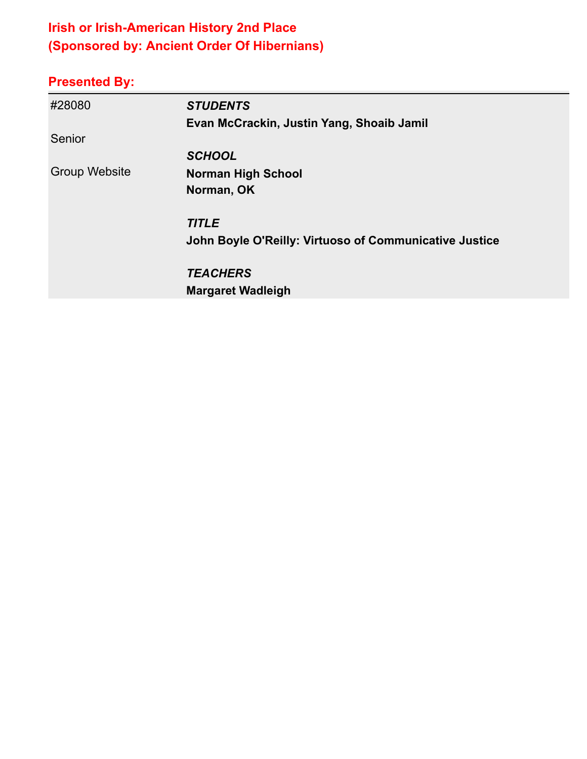# **Irish or Irish-American History 2nd Place (Sponsored by: Ancient Order Of Hibernians)**

| #28080               | <b>STUDENTS</b>                                        |
|----------------------|--------------------------------------------------------|
|                      | Evan McCrackin, Justin Yang, Shoaib Jamil              |
| Senior               |                                                        |
|                      | <b>SCHOOL</b>                                          |
| <b>Group Website</b> | <b>Norman High School</b>                              |
|                      | Norman, OK                                             |
|                      | <b>TITLE</b>                                           |
|                      | John Boyle O'Reilly: Virtuoso of Communicative Justice |
|                      | <b>TEACHERS</b>                                        |
|                      | <b>Margaret Wadleigh</b>                               |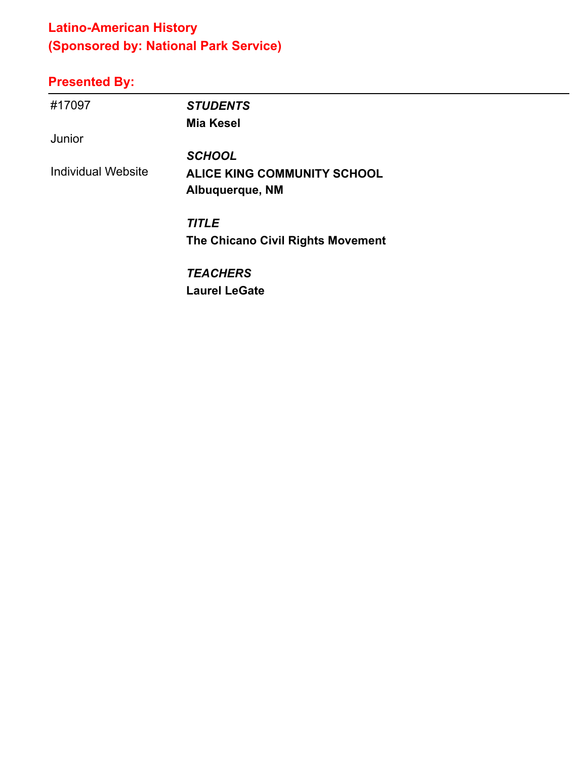# **Latino-American History (Sponsored by: National Park Service)**

| #17097                    | <b>STUDENTS</b>                    |
|---------------------------|------------------------------------|
|                           | <b>Mia Kesel</b>                   |
| Junior                    |                                    |
|                           | <b>SCHOOL</b>                      |
| <b>Individual Website</b> | <b>ALICE KING COMMUNITY SCHOOL</b> |
|                           | Albuquerque, NM                    |
|                           | <b>TITLE</b>                       |
|                           | The Chicano Civil Rights Movement  |
|                           | <b>TEACHERS</b>                    |
|                           | <b>Laurel LeGate</b>               |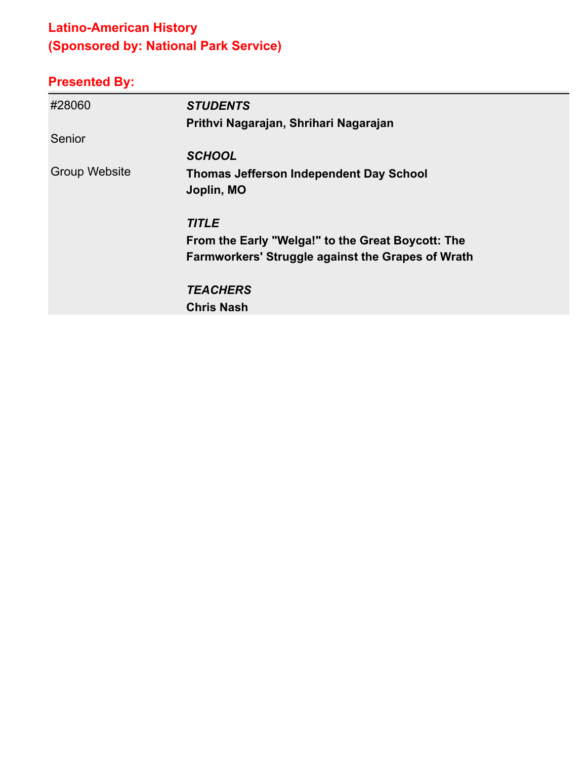# **Latino-American History (Sponsored by: National Park Service)**

| #28060               | <b>STUDENTS</b>                                          |
|----------------------|----------------------------------------------------------|
|                      | Prithvi Nagarajan, Shrihari Nagarajan                    |
| Senior               |                                                          |
|                      | <b>SCHOOL</b>                                            |
| <b>Group Website</b> | <b>Thomas Jefferson Independent Day School</b>           |
|                      | Joplin, MO                                               |
|                      | <b>TITLE</b>                                             |
|                      | From the Early "Welga!" to the Great Boycott: The        |
|                      | <b>Farmworkers' Struggle against the Grapes of Wrath</b> |
|                      | <b>TEACHERS</b>                                          |
|                      | <b>Chris Nash</b>                                        |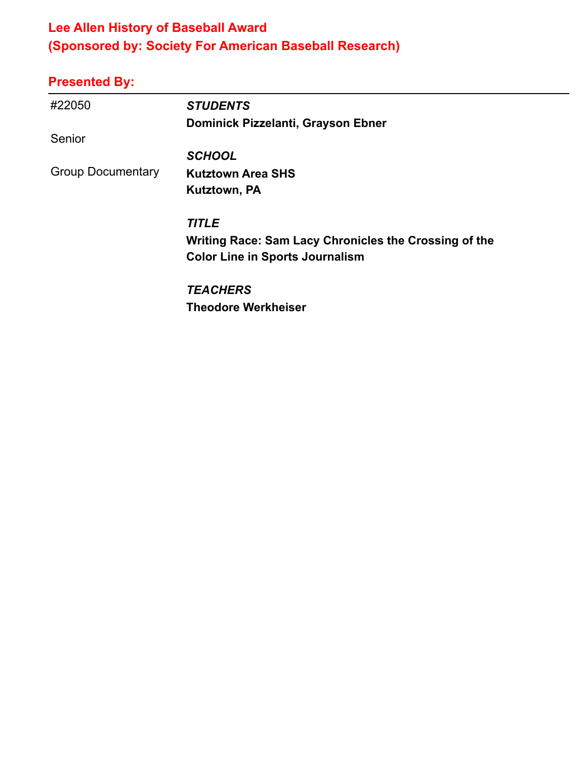### **Lee Allen History of Baseball Award (Sponsored by: Society For American Baseball Research)**

| #22050                   | <b>STUDENTS</b>                                       |
|--------------------------|-------------------------------------------------------|
|                          | Dominick Pizzelanti, Grayson Ebner                    |
| Senior                   |                                                       |
|                          | <b>SCHOOL</b>                                         |
| <b>Group Documentary</b> | <b>Kutztown Area SHS</b>                              |
|                          | Kutztown, PA                                          |
|                          | <b>TITLE</b>                                          |
|                          | Writing Race: Sam Lacy Chronicles the Crossing of the |
|                          | <b>Color Line in Sports Journalism</b>                |
|                          | <b>TEACHERS</b>                                       |
|                          | <b>Theodore Werkheiser</b>                            |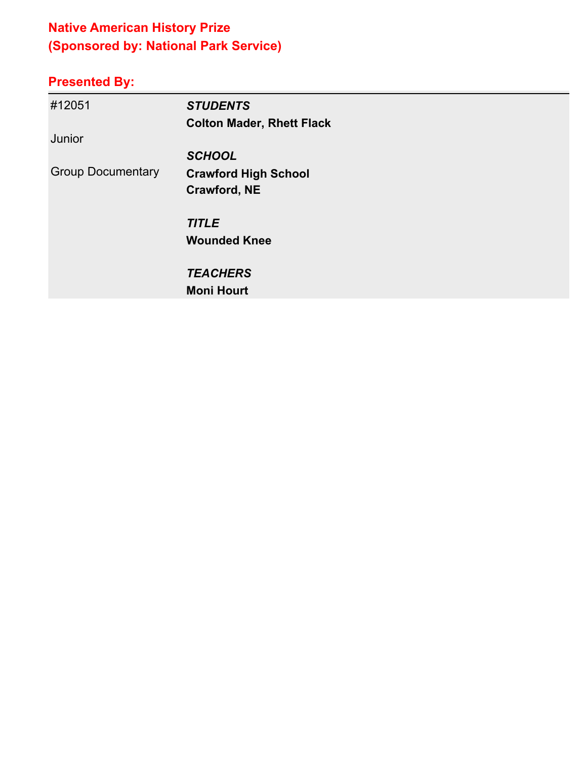# **Native American History Prize (Sponsored by: National Park Service)**

| #12051                   | <b>STUDENTS</b>                  |
|--------------------------|----------------------------------|
|                          | <b>Colton Mader, Rhett Flack</b> |
| Junior                   |                                  |
|                          | <b>SCHOOL</b>                    |
| <b>Group Documentary</b> | <b>Crawford High School</b>      |
|                          | Crawford, NE                     |
|                          | <b>TITLE</b>                     |
|                          | <b>Wounded Knee</b>              |
|                          | <b>TEACHERS</b>                  |
|                          | <b>Moni Hourt</b>                |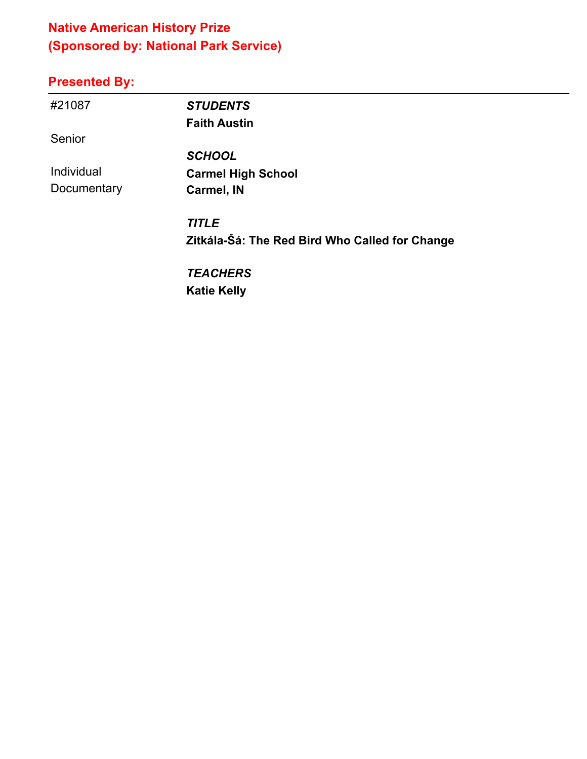### **Native American History Prize (Sponsored by: National Park Service)**

# **Presented By:**

| #21087      | <b>STUDENTS</b>                                |
|-------------|------------------------------------------------|
|             | <b>Faith Austin</b>                            |
| Senior      |                                                |
|             | <b>SCHOOL</b>                                  |
| Individual  | <b>Carmel High School</b>                      |
| Documentary | Carmel, IN                                     |
|             | <b>TITLE</b>                                   |
|             | Zitkála-Šá: The Red Bird Who Called for Change |
|             | <b>TEACHERS</b>                                |
|             |                                                |

 $\overline{\phantom{0}}$ 

**Katie Kelly**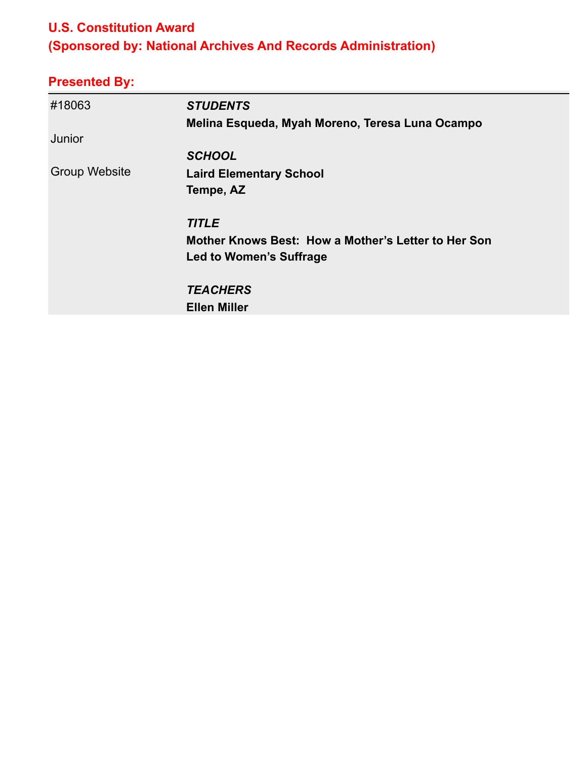#### **U.S. Constitution Award**

# **(Sponsored by: National Archives And Records Administration)**

| #18063               | <b>STUDENTS</b>                                     |
|----------------------|-----------------------------------------------------|
|                      | Melina Esqueda, Myah Moreno, Teresa Luna Ocampo     |
| Junior               |                                                     |
|                      | <b>SCHOOL</b>                                       |
| <b>Group Website</b> | <b>Laird Elementary School</b>                      |
|                      | Tempe, AZ                                           |
|                      | <b>TITLE</b>                                        |
|                      | Mother Knows Best: How a Mother's Letter to Her Son |
|                      | Led to Women's Suffrage                             |
|                      | <b>TEACHERS</b>                                     |
|                      | <b>Ellen Miller</b>                                 |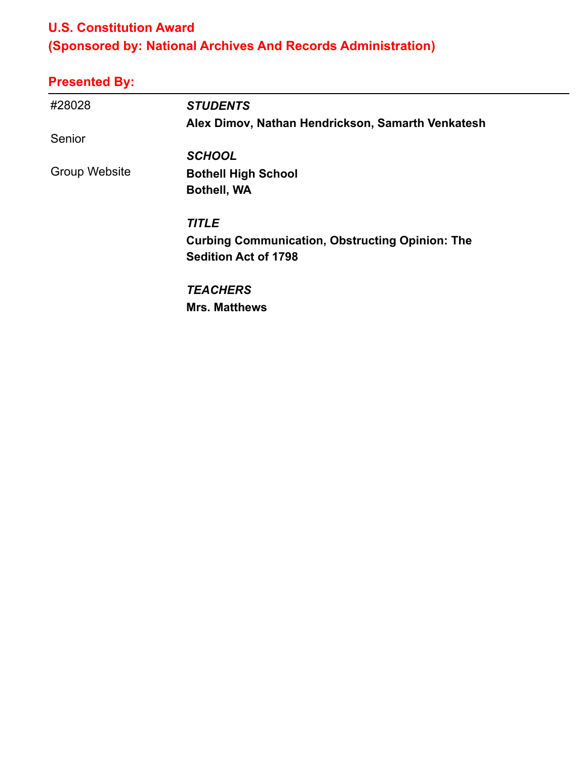#### **U.S. Constitution Award**

# **(Sponsored by: National Archives And Records Administration)**

| #28028               | <b>STUDENTS</b>                                        |
|----------------------|--------------------------------------------------------|
|                      | Alex Dimov, Nathan Hendrickson, Samarth Venkatesh      |
| Senior               |                                                        |
|                      | <b>SCHOOL</b>                                          |
| <b>Group Website</b> | <b>Bothell High School</b>                             |
|                      | <b>Bothell, WA</b>                                     |
|                      | <b>TITLE</b>                                           |
|                      | <b>Curbing Communication, Obstructing Opinion: The</b> |
|                      | <b>Sedition Act of 1798</b>                            |
|                      | <b>TEACHERS</b>                                        |
|                      | <b>Mrs. Matthews</b>                                   |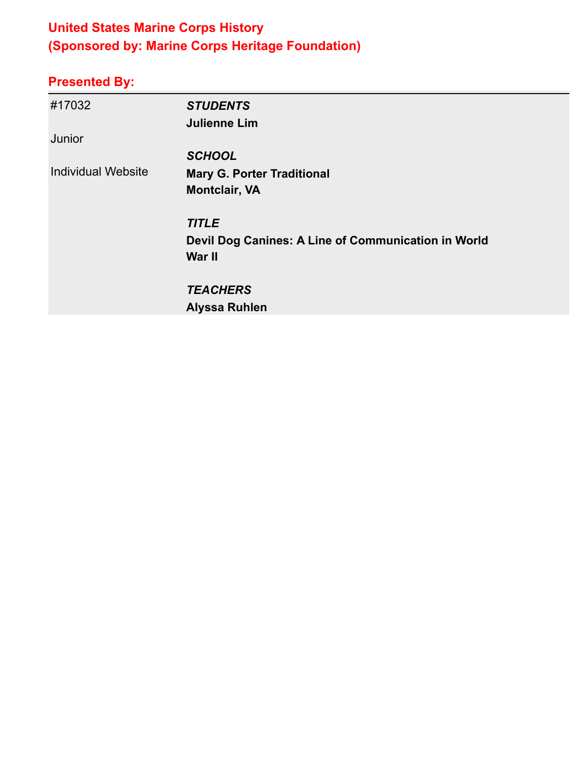### **United States Marine Corps History (Sponsored by: Marine Corps Heritage Foundation)**

| #17032                    | <b>STUDENTS</b><br><b>Julienne Lim</b>              |
|---------------------------|-----------------------------------------------------|
| Junior                    |                                                     |
|                           | <b>SCHOOL</b>                                       |
| <b>Individual Website</b> | <b>Mary G. Porter Traditional</b>                   |
|                           | <b>Montclair, VA</b>                                |
|                           | <b>TITLE</b>                                        |
|                           | Devil Dog Canines: A Line of Communication in World |
|                           | War II                                              |
|                           | <b>TEACHERS</b>                                     |
|                           | <b>Alyssa Ruhlen</b>                                |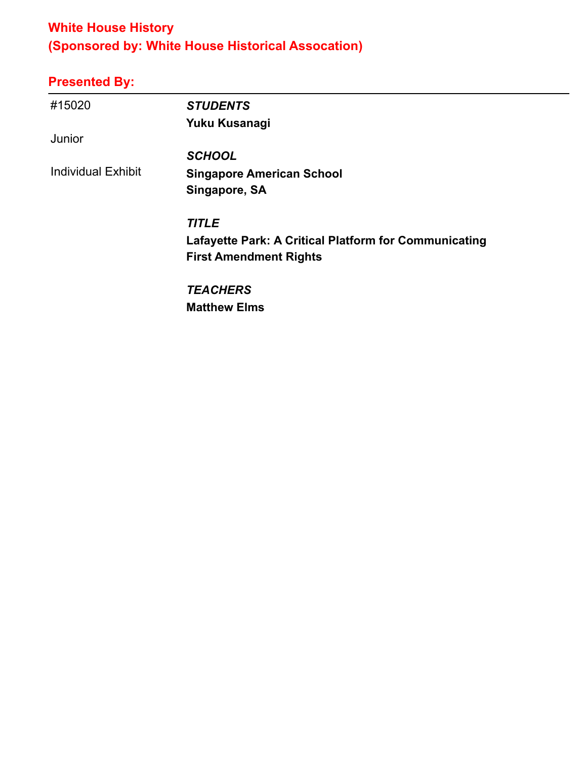### **White House History (Sponsored by: White House Historical Assocation)**

| #15020                    | <b>STUDENTS</b>                                              |
|---------------------------|--------------------------------------------------------------|
|                           | Yuku Kusanagi                                                |
| Junior                    |                                                              |
|                           | <b>SCHOOL</b>                                                |
| <b>Individual Exhibit</b> | <b>Singapore American School</b>                             |
|                           | Singapore, SA                                                |
|                           | <b>TITLE</b>                                                 |
|                           | <b>Lafayette Park: A Critical Platform for Communicating</b> |
|                           | <b>First Amendment Rights</b>                                |
|                           | <b>TEACHERS</b>                                              |
|                           | <b>Matthew Elms</b>                                          |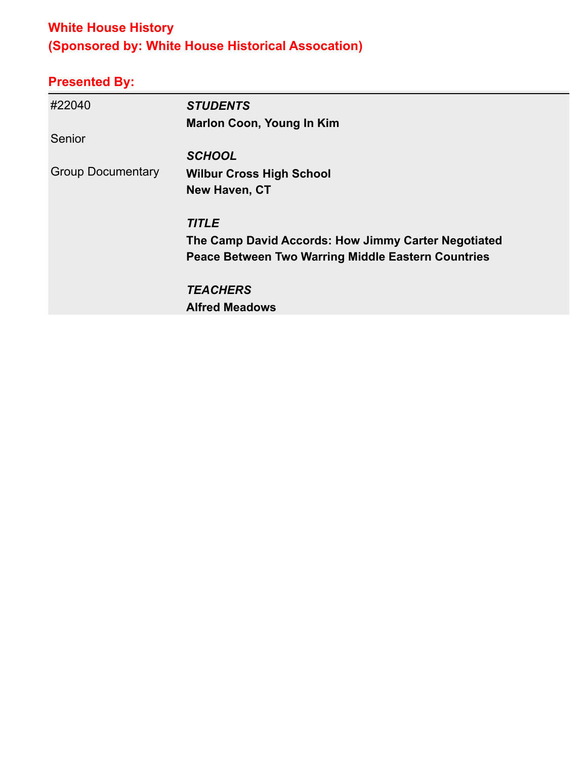### **White House History (Sponsored by: White House Historical Assocation)**

| #22040                   | <b>STUDENTS</b>                                           |
|--------------------------|-----------------------------------------------------------|
|                          | <b>Marlon Coon, Young In Kim</b>                          |
| Senior                   |                                                           |
|                          | <b>SCHOOL</b>                                             |
| <b>Group Documentary</b> | <b>Wilbur Cross High School</b>                           |
|                          | New Haven, CT                                             |
|                          | <b>TITLE</b>                                              |
|                          | The Camp David Accords: How Jimmy Carter Negotiated       |
|                          | <b>Peace Between Two Warring Middle Eastern Countries</b> |
|                          | <b>TEACHERS</b>                                           |
|                          | <b>Alfred Meadows</b>                                     |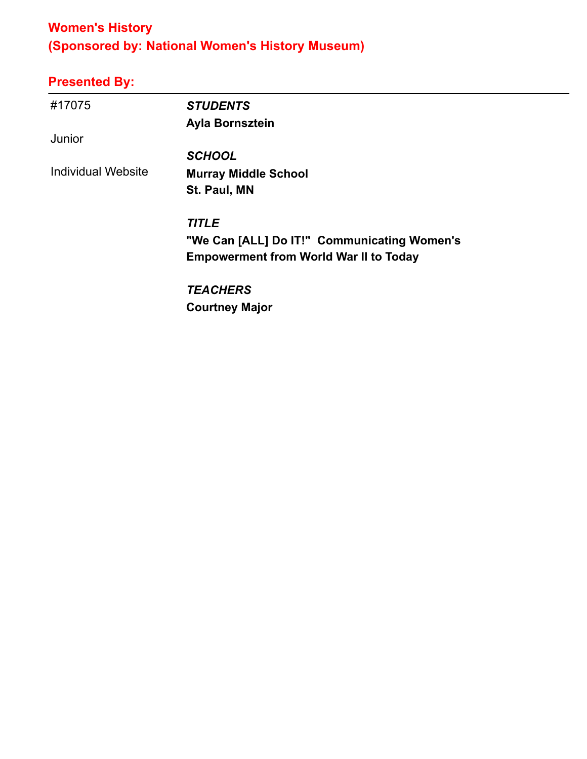# **Women's History (Sponsored by: National Women's History Museum)**

| #17075                    | <b>STUDENTS</b>                               |
|---------------------------|-----------------------------------------------|
|                           | Ayla Bornsztein                               |
| Junior                    |                                               |
|                           | <b>SCHOOL</b>                                 |
| <b>Individual Website</b> | <b>Murray Middle School</b>                   |
|                           | St. Paul, MN                                  |
|                           | <b>TITLE</b>                                  |
|                           | "We Can [ALL] Do IT!" Communicating Women's   |
|                           | <b>Empowerment from World War II to Today</b> |
|                           | <b>TEACHERS</b>                               |
|                           | <b>Courtney Major</b>                         |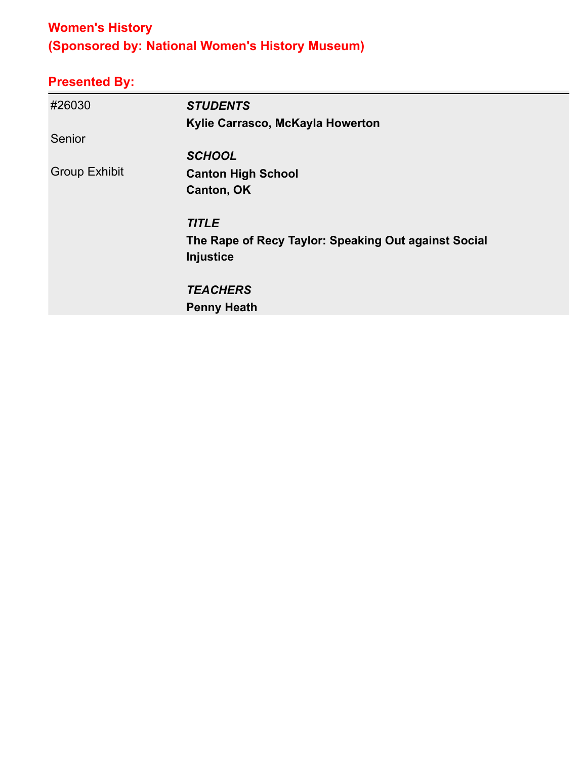# **Women's History (Sponsored by: National Women's History Museum)**

| #26030               | <b>STUDENTS</b>                                      |
|----------------------|------------------------------------------------------|
|                      | Kylie Carrasco, McKayla Howerton                     |
| Senior               |                                                      |
|                      | <b>SCHOOL</b>                                        |
| <b>Group Exhibit</b> | <b>Canton High School</b>                            |
|                      | <b>Canton, OK</b>                                    |
|                      | <b>TITLE</b>                                         |
|                      | The Rape of Recy Taylor: Speaking Out against Social |
|                      | Injustice                                            |
|                      | <b>TEACHERS</b>                                      |
|                      | <b>Penny Heath</b>                                   |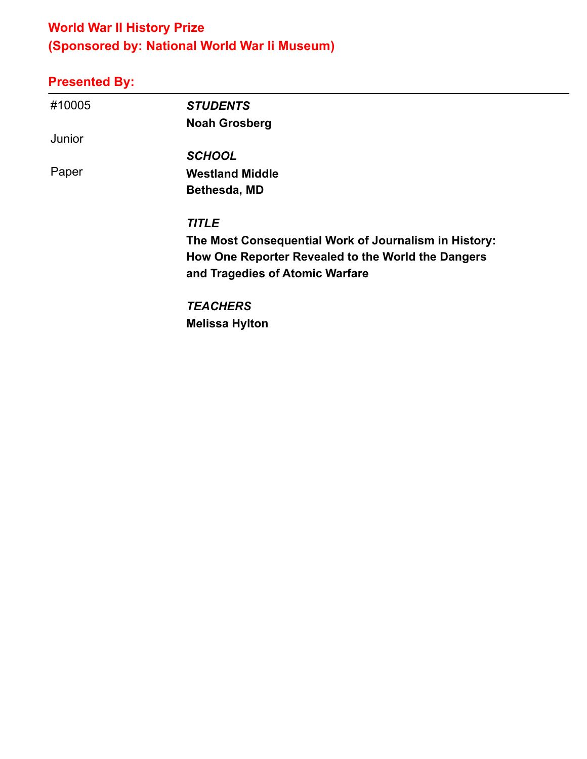# **World War II History Prize (Sponsored by: National World War Ii Museum)**

| #10005 | <b>STUDENTS</b>                                       |
|--------|-------------------------------------------------------|
|        | <b>Noah Grosberg</b>                                  |
| Junior |                                                       |
|        | <b>SCHOOL</b>                                         |
| Paper  | <b>Westland Middle</b>                                |
|        | Bethesda, MD                                          |
|        | <b>TITLE</b>                                          |
|        | The Most Consequential Work of Journalism in History: |
|        | How One Reporter Revealed to the World the Dangers    |
|        | and Tragedies of Atomic Warfare                       |
|        | <b>TEACHERS</b>                                       |
|        | <b>Melissa Hylton</b>                                 |